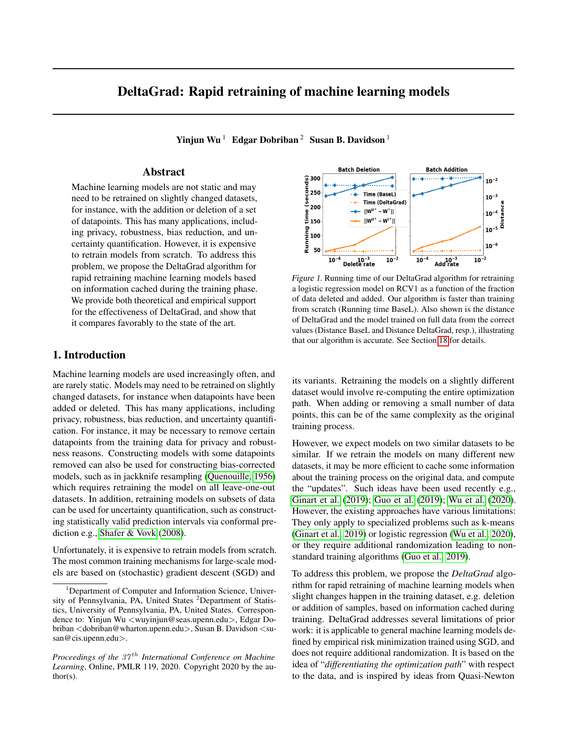# <span id="page-0-1"></span>DeltaGrad: Rapid retraining of machine learning models

Yinjun Wu<sup>1</sup> Edgar Dobriban<sup>2</sup> Susan B. Davidson<sup>1</sup>

# Abstract

Machine learning models are not static and may need to be retrained on slightly changed datasets, for instance, with the addition or deletion of a set of datapoints. This has many applications, including privacy, robustness, bias reduction, and uncertainty quantifcation. However, it is expensive to retrain models from scratch. To address this problem, we propose the DeltaGrad algorithm for rapid retraining machine learning models based on information cached during the training phase. We provide both theoretical and empirical support for the effectiveness of DeltaGrad, and show that it compares favorably to the state of the art.

# 1. Introduction

Machine learning models are used increasingly often, and are rarely static. Models may need to be retrained on slightly changed datasets, for instance when datapoints have been added or deleted. This has many applications, including privacy, robustness, bias reduction, and uncertainty quantifcation. For instance, it may be necessary to remove certain datapoints from the training data for privacy and robustness reasons. Constructing models with some datapoints removed can also be used for constructing bias-corrected models, such as in jackknife resampling [\(Quenouille, 1956\)](#page-10-0) which requires retraining the model on all leave-one-out datasets. In addition, retraining models on subsets of data can be used for uncertainty quantifcation, such as constructing statistically valid prediction intervals via conformal prediction e.g., [Shafer & Vovk \(2008\)](#page-10-1).

Unfortunately, it is expensive to retrain models from scratch. The most common training mechanisms for large-scale models are based on (stochastic) gradient descent (SGD) and

<span id="page-0-0"></span>

Figure 1. Running time of our DeltaGrad algorithm for retraining a logistic regression model on RCV1 as a function of the fraction of data deleted and added. Our algorithm is faster than training from scratch (Running time BaseL). Also shown is the distance of DeltaGrad and the model trained on full data from the correct values (Distance BaseL and Distance DeltaGrad, resp.), illustrating that our algorithm is accurate. See Section [18](#page-4-0) for details.

its variants. Retraining the models on a slightly different dataset would involve re-computing the entire optimization path. When adding or removing a small number of data points, this can be of the same complexity as the original training process.

However, we expect models on two similar datasets to be similar. If we retrain the models on many different new datasets, it may be more efficient to cache some information about the training process on the original data, and compute the "updates". Such ideas have been used recently e.g., [Ginart et al. \(2019\)](#page-9-0); [Guo et al. \(2019\)](#page-10-2); [Wu et al. \(2020\)](#page-11-0). However, the existing approaches have various limitations: They only apply to specialized problems such as k-means [\(Ginart et al., 2019\)](#page-9-0) or logistic regression [\(Wu et al., 2020\)](#page-11-0), or they require additional randomization leading to nonstandard training algorithms [\(Guo et al., 2019\)](#page-10-2).

To address this problem, we propose the *DeltaGrad* algorithm for rapid retraining of machine learning models when slight changes happen in the training dataset, e.g. deletion or addition of samples, based on information cached during training. DeltaGrad addresses several limitations of prior work: it is applicable to general machine learning models defned by empirical risk minimization trained using SGD, and does not require additional randomization. It is based on the idea of "*differentiating the optimization path*" with respect to the data, and is inspired by ideas from Quasi-Newton

<sup>&</sup>lt;sup>1</sup>Department of Computer and Information Science, University of Pennsylvania, PA, United States <sup>2</sup>Department of Statistics, University of Pennsylvania, PA, United States. Correspondence to: Yinjun Wu <[wuyinjun@seas.upenn.edu](mailto:wuyinjun@seas.upenn.edu)>, Edgar Dobriban <[dobriban@wharton.upenn.edu](mailto:dobriban@wharton.upenn.edu)>, Susan B. Davidson <su[san@cis.upenn.edu](mailto:san@cis.upenn.edu)>.

*Proceedings of the 37<sup>th</sup> International Conference on Machine Learning*, Online, PMLR 119, 2020. Copyright 2020 by the author(s).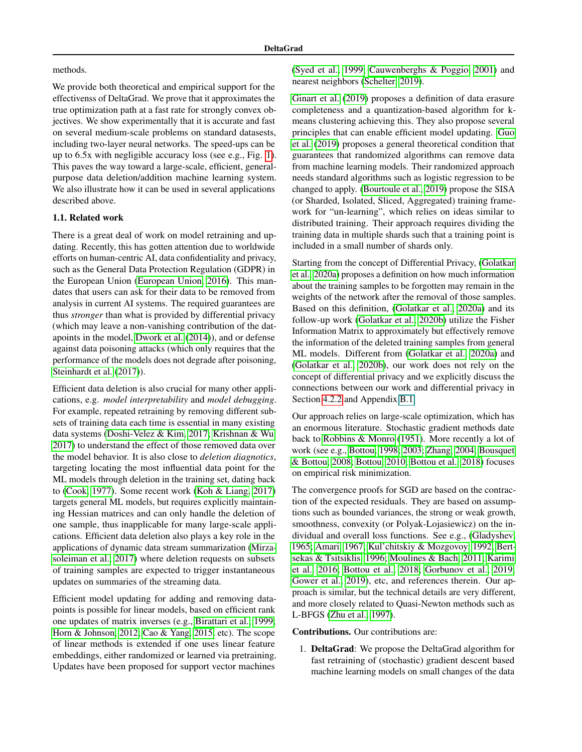#### methods.

We provide both theoretical and empirical support for the effectivenss of DeltaGrad. We prove that it approximates the true optimization path at a fast rate for strongly convex objectives. We show experimentally that it is accurate and fast on several medium-scale problems on standard datasests, including two-layer neural networks. The speed-ups can be up to 6.5x with negligible accuracy loss (see e.g., Fig. [1\)](#page-0-0). This paves the way toward a large-scale, efficient, generalpurpose data deletion/addition machine learning system. We also illustrate how it can be used in several applications described above.

### 1.1. Related work

There is a great deal of work on model retraining and updating. Recently, this has gotten attention due to worldwide efforts on human-centric AI, data confdentiality and privacy, such as the General Data Protection Regulation (GDPR) in the European Union [\(European Union, 2016\)](#page-9-1). This mandates that users can ask for their data to be removed from analysis in current AI systems. The required guarantees are thus *stronger* than what is provided by differential privacy (which may leave a non-vanishing contribution of the datapoints in the model, [Dwork et al. \(2014\)](#page-9-2)), and or defense against data poisoning attacks (which only requires that the performance of the models does not degrade after poisoning, [Steinhardt et al. \(2017\)](#page-10-3)).

Efficient data deletion is also crucial for many other applications, e.g. *model interpretability* and *model debugging*. For example, repeated retraining by removing different subsets of training data each time is essential in many existing data systems [\(Doshi-Velez & Kim, 2017;](#page-9-3) [Krishnan & Wu,](#page-10-4) [2017\)](#page-10-4) to understand the effect of those removed data over the model behavior. It is also close to *deletion diagnotics*, targeting locating the most infuential data point for the ML models through deletion in the training set, dating back to [\(Cook, 1977\)](#page-9-4). Some recent work [\(Koh & Liang, 2017\)](#page-10-5) targets general ML models, but requires explicitly maintaining Hessian matrices and can only handle the deletion of one sample, thus inapplicable for many large-scale applications. Effcient data deletion also plays a key role in the applications of dynamic data stream summarization [\(Mirza](#page-10-6)[soleiman et al., 2017\)](#page-10-6) where deletion requests on subsets of training samples are expected to trigger instantaneous updates on summaries of the streaming data.

Effcient model updating for adding and removing datapoints is possible for linear models, based on efficient rank one updates of matrix inverses (e.g., [Birattari et al., 1999;](#page-9-5) [Horn & Johnson, 2012;](#page-10-7) [Cao & Yang, 2015,](#page-9-6) etc). The scope of linear methods is extended if one uses linear feature embeddings, either randomized or learned via pretraining. Updates have been proposed for support vector machines

[\(Syed et al.,](#page-11-1) [1999;](#page-11-1) [Cauwenberghs & Poggio, 2001\)](#page-9-7) and nearest neighbors [\(Schelter, 2019\)](#page-10-8).

[Ginart et al. \(2019\)](#page-9-0) proposes a defnition of data erasure completeness and a quantization-based algorithm for kmeans clustering achieving this. They also propose several principles that can enable efficient model updating. Guo [et al. \(2019\)](#page-10-2) proposes a general theoretical condition that guarantees that randomized algorithms can remove data from machine learning models. Their randomized approach needs standard algorithms such as logistic regression to be changed to apply. [\(Bourtoule et al., 2019\)](#page-9-8) propose the SISA (or Sharded, Isolated, Sliced, Aggregated) training framework for "un-learning", which relies on ideas similar to distributed training. Their approach requires dividing the training data in multiple shards such that a training point is included in a small number of shards only.

Starting from the concept of Differential Privacy, [\(Golatkar](#page-10-9)  [et al., 2020a\)](#page-10-9) proposes a defnition on how much information about the training samples to be forgotten may remain in the weights of the network after the removal of those samples. Based on this defnition, [\(Golatkar et al., 2020a\)](#page-10-9) and its follow-up work [\(Golatkar et al., 2020b\)](#page-10-10) utilize the Fisher Information Matrix to approximately but effectively remove the information of the deleted training samples from general ML models. Different from [\(Golatkar et al., 2020a\)](#page-10-9) and [\(Golatkar et al.,](#page-10-10) [2020b\)](#page-10-10), our work does not rely on the concept of differential privacy and we explicitly discuss the connections between our work and differential privacy in Section [4.2.2](#page-7-0) and Appendix [B.1.](#page-2-0)

Our approach relies on large-scale optimization, which has an enormous literature. Stochastic gradient methods date back to [Robbins & Monro \(1951\)](#page-10-11). More recently a lot of work (see e.g., [Bottou, 1998;](#page-9-9) [2003;](#page-9-10) [Zhang, 2004;](#page-11-2) [Bousquet](#page-9-11)  [& Bottou, 2008;](#page-9-11) [Bottou, 2010;](#page-9-12) [Bottou et al., 2018\)](#page-9-13) focuses on empirical risk minimization.

The convergence proofs for SGD are based on the contraction of the expected residuals. They are based on assumptions such as bounded variances, the strong or weak growth, smoothness, convexity (or Polyak-Lojasiewicz) on the individual and overall loss functions. See e.g., [\(Gladyshev,](#page-9-14) [1965;](#page-9-14) [Amari, 1967;](#page-9-15) [Kul'chitskiy & Mozgovoy, 1992;](#page-10-12) [Bert](#page-9-16)[sekas & Tsitsiklis, 1996;](#page-9-16) [Moulines & Bach, 2011;](#page-10-13) [Karimi](#page-10-14)  [et al.,](#page-10-14) [2016;](#page-10-14) [Bottou et al., 2018;](#page-9-13) [Gorbunov et al.,](#page-10-15) [2019;](#page-10-15) [Gower et al., 2019\)](#page-10-16), etc, and references therein. Our approach is similar, but the technical details are very different, and more closely related to Quasi-Newton methods such as L-BFGS [\(Zhu et al., 1997\)](#page-11-3).

Contributions. Our contributions are:

1. DeltaGrad: We propose the DeltaGrad algorithm for fast retraining of (stochastic) gradient descent based machine learning models on small changes of the data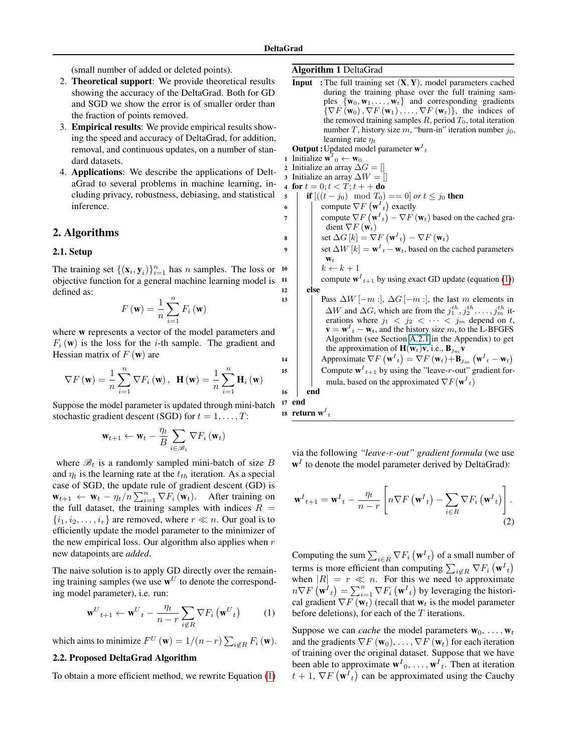5 6 7

8 9

(small number of added or deleted points).

- 2. Theoretical support: We provide theoretical results showing the accuracy of the DeltaGrad. Both for GD and SGD we show the error is of smaller order than the fraction of points removed.
- 3. Empirical results: We provide empirical results showing the speed and accuracy of DeltaGrad, for addition, removal, and continuous updates, on a number of standard datasets.
- 4. Applications: We describe the applications of DeltaGrad to several problems in machine learning, including privacy, robustness, debiasing, and statistical inference.

### 2. Algorithms

#### <span id="page-2-0"></span>2.1. Setup

The training set  $\{(\mathbf{x}_i, \mathbf{y}_i)\}_{i=1}^n$  has n samples. The loss or objective function for a general machine learning model is defned as: 10 11 12 13

$$
F(\mathbf{w}) = \frac{1}{n} \sum_{i=1}^{n} F_i(\mathbf{w})
$$

where w represents a vector of the model parameters and  $F_i$  (w) is the loss for the *i*-th sample. The gradient and Hessian matrix of  $F(\mathbf{w})$  are

$$
\nabla F(\mathbf{w}) = \frac{1}{n} \sum_{i=1}^{n} \nabla F_i(\mathbf{w}), \ \mathbf{H}(\mathbf{w}) = \frac{1}{n} \sum_{i=1}^{n} \mathbf{H}_i(\mathbf{w})
$$

Suppose the model parameter is updated through mini-batch stochastic gradient descent (SGD) for  $t = 1, \ldots, T$ :

$$
\mathbf{w}_{t+1} \leftarrow \mathbf{w}_t - \frac{\eta_t}{B} \sum_{i \in \mathcal{B}_t} \nabla F_i \left(\mathbf{w}_t\right)
$$

where  $\mathcal{B}_t$  is a randomly sampled mini-batch of size B and  $\eta_t$  is the learning rate at the  $t_{th}$  iteration. As a special case of SGD, the update rule of gradient descent (GD) is  $\mathbf{w}_{t+1} \leftarrow \mathbf{w}_t - \eta_t / n \sum_{i=1}^n \nabla F_i (\mathbf{w}_t)$ . After training on the full dataset, the training samples with indices  $R =$  $\{i_1, i_2, \ldots, i_r\}$  are removed, where  $r \ll n$ . Our goal is to effciently update the model parameter to the minimizer of the new empirical loss. Our algorithm also applies when  $r$ new datapoints are *added*.

The naive solution is to apply GD directly over the remaining training samples (we use  $\mathbf{w}^U$  to denote the corresponding model parameter), i.e. run:

$$
\mathbf{w}^{U}{}_{t+1} \leftarrow \mathbf{w}^{U}{}_{t} - \frac{\eta_{t}}{n-r} \sum_{i \notin R} \nabla F_{i} \left(\mathbf{w}^{U}{}_{t}\right) \tag{1}
$$

which aims to minimize  $F^U$  (w) = 1/(n-r)  $\sum_{i \notin R} F_i$  (w).

### 2.2. Proposed DeltaGrad Algorithm

To obtain a more efficient method, we rewrite Equation [\(1\)](#page-2-1)

### <span id="page-2-2"></span>Algorithm 1 DeltaGrad

1 Initialize  $\mathbf{w}^T_0 \leftarrow \mathbf{w}_0$ **Input** : The full training set  $(X, Y)$ , model parameters cached during the training phase over the full training samples  $\{w_0, w_1, \ldots, w_t\}$  and corresponding gradients  $\{\nabla F(\mathbf{w}_0), \nabla F(\mathbf{w}_1), \dots, \nabla F(\mathbf{w}_t)\}\$ , the indices of the removed training samples  $R$ , period  $T_0$ , total iteration number T, history size  $m$ , "burn-in" iteration number  $j_0$ , learning rate  $\eta_t$ **Output**: Updated model parameter  $w<sup>T</sup>$ <sub>t</sub>

2 Initialize an array  $\Delta G = []$ 

3 Initialize an array  $\Delta W = []$ 

- 4 for  $t = 0; t < T; t + +$  do **if** [((*t* − *j*<sub>0</sub>) mod *T*<sub>0</sub>) == 0] *or t* ≤ *j*<sub>0</sub> **then** 
	- compute  $\nabla F(\mathbf{w}^I{}_t)$  exactly compute  $\nabla F\left(\mathbf{w}^{t}_{t}\right) - \nabla F\left(\mathbf{w}_{t}\right)$  based on the cached gradient  $\nabla F$  ( $\mathbf{w}_t$ ) set  $\Delta G\left[k\right] = \nabla F\left(\mathbf{w}^{I}_{t}\right) - \nabla F\left(\mathbf{w}_{t}\right)$ set  $\Delta W[k] = \mathbf{w}^I{}_t - \mathbf{w}_t$ , based on the cached parameters  $W_t$  $k \leftarrow k + 1$ compute  $\mathbf{w}^{I}{}_{t+1}$  by using exact GD update (equation [\(1\)](#page-2-1)) else Pass  $\Delta W$  [−m :],  $\Delta G$  [−m :], the last m elements in  $\Delta W$  and  $\Delta G$ , which are from the  $j_1^{th}, j_2^{th}, \ldots, j_m^{th}$  iterations where  $j_1 < j_2 < \cdots < j_m$  depend on t,  $\mathbf{v} = \mathbf{w}^I{}_t - \mathbf{w}_t$ , and the history size m, to the L-BFGFS Algorithm (see Section A.2.1 in the Appendix) to get the approximation of  $\mathbf{H}(\mathbf{w}_t)\mathbf{v}$ , i.e.,  $\mathbf{B}_{j_m}\mathbf{v}$ Approximate  $\nabla F\left(\mathbf{w}^{I}_{t}\right) = \nabla F\left(\mathbf{w}_{t}\right) + \mathbf{B}_{j_{m}}\left(\mathbf{w}^{I}_{t}-\mathbf{w}_{t}\right)$ Compute  $w_{t+1}^T$  by using the "leave-r-out" gradient formula, based on the approximated  $\nabla F(\mathbf{w}^I_{t})$ end

16 17 end

14 15

18 return w $I_t$ 

via the following *"leave-*r*-out" gradient formula* (we use  $\mathbf{w}^{I}$  to denote the model parameter derived by DeltaGrad):

<span id="page-2-3"></span>
$$
\mathbf{w}^{I}_{t+1} = \mathbf{w}^{I}_{t} - \frac{\eta_{t}}{n-r} \left[ n \nabla F\left(\mathbf{w}^{I}_{t}\right) - \sum_{i \in R} \nabla F_{i}\left(\mathbf{w}^{I}_{t}\right) \right].
$$
\n(2)

Computing the sum  $\sum_{i \in R} \nabla F_i \left( \mathbf{w}^I_{t} \right)$  of a small number of terms is more efficient than computing  $\sum_{i \notin R} \nabla F_i \left(\mathbf{w}^I_{t}\right)$ when  $|R| = r \ll n$ . For this when  $|R| = r \ll n$ . For this we need to approximate  $n \nabla F(\mathbf{w}^I_t) = \sum_{i=1}^n \nabla F_i(\mathbf{w}^I_t)$  by leveraging the historical gradient  $\nabla F$  ( $\mathbf{w}_t$ ) (recall that  $\mathbf{w}_t$  is the model parameter before deletions), for each of the  $T$  iterations.

<span id="page-2-1"></span>Suppose we can *cache* the model parameters  $w_0, \ldots, w_t$ and the gradients  $\nabla F(\mathbf{w}_0), \ldots, \nabla F(\mathbf{w}_t)$  for each iteration of training over the original dataset. Suppose that we have been able to approximate  $w^{I}_{0}, \dots, w^{I}_{t}$ . Then at iteration  $t + 1$ ,  $\nabla F(\mathbf{w}^I_t)$  can be approximated using the Cauchy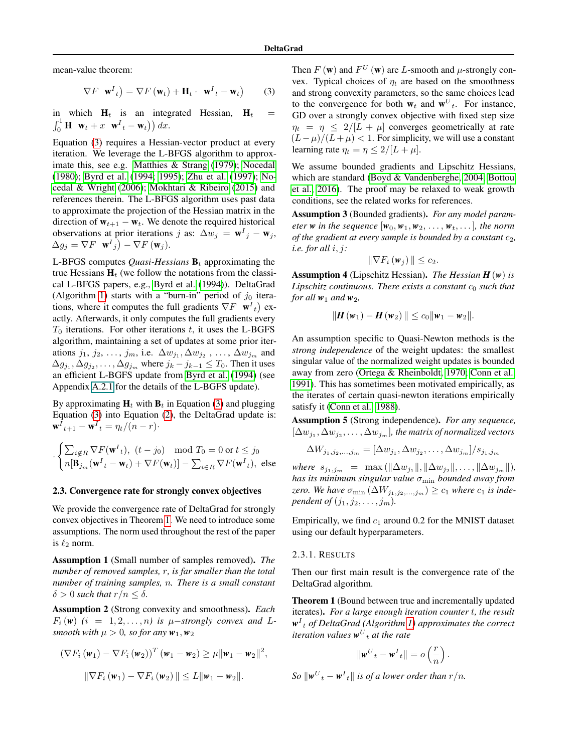mean-value theorem:

$$
\nabla F \mathbf{w}^{I}_{t} = \nabla F(\mathbf{w}_{t}) + \mathbf{H}_{t} \cdot \mathbf{w}^{I}_{t} - \mathbf{w}_{t}
$$
 (3)

 $\int_0^1 \mathbf{H} \ \mathbf{w}_t + x \ \mathbf{w}^I{}_t - \mathbf{w}_t \big) \big) \, dx.$ in which  $H_t$  is an integrated Hessian,  $H_t$  =

 $\Delta g_j = \nabla F \mathbf{w}^I{}_j - \nabla F (\mathbf{w}_j).$ Equation [\(3\)](#page-3-0) requires a Hessian-vector product at every iteration. We leverage the L-BFGS algorithm to approximate this, see e.g. [Matthies & Strang \(1979\)](#page-10-17); [Nocedal](#page-10-18)  [\(1980\)](#page-10-18); [Byrd et al. \(1994;](#page-9-17) [1995\)](#page-9-18); [Zhu et al. \(1997\)](#page-11-3); [No](#page-10-19)[cedal & Wright \(2006\)](#page-10-19); [Mokhtari & Ribeiro \(2015\)](#page-10-20) and references therein. The L-BFGS algorithm uses past data to approximate the projection of the Hessian matrix in the direction of  $w_{t+1} - w_t$ . We denote the required historical observations at prior iterations j as:  $\Delta w_j = \mathbf{w}^I{}_j - \mathbf{w}_j$ ,

tions, where it computes the full gradients  $\nabla F \mathbf{w}^I_{t}$  ex-L-BFGS computes *Quasi-Hessians*  $\mathbf{B}_t$  approximating the true Hessians  $H_t$  (we follow the notations from the classical L-BFGS papers, e.g., [Byrd et al. \(1994\)](#page-9-17)). DeltaGrad (Algorithm [1\)](#page-2-2) starts with a "burn-in" period of  $j_0$  iteraactly. Afterwards, it only computes the full gradients every  $T_0$  iterations. For other iterations t, it uses the L-BGFS algorithm, maintaining a set of updates at some prior iterations  $j_1, j_2, \ldots, j_m$ , i.e.  $\Delta w_{j_1}, \Delta w_{j_2}, \ldots, \Delta w_{j_m}$  and  $\Delta g_{j_1}, \Delta g_{j_2}, \ldots, \Delta g_{j_m}$  where  $j_k - j_{k-1} \leq T_0$ . Then it uses an efficient L-BGFS update from [Byrd et al. \(1994\)](#page-9-17) (see Appendix A.2.1 for the details of the L-BGFS update).

By approximating  $H_t$  with  $B_t$  in Equation [\(3\)](#page-3-0) and plugging Equation [\(3\)](#page-3-0) into Equation [\(2\)](#page-2-3), the DeltaGrad update is:  $\mathbf{w}^{I}{}_{t+1} - \mathbf{w}^{I}{}_{t} = \eta_t/(n-r)$ 

$$
\begin{cases} \sum_{i \notin R} \nabla F(\mathbf{w}^I_{t}), \ (t - j_0) \mod T_0 = 0 \text{ or } t \leq j_0\\ n[\mathbf{B}_{j_m}(\mathbf{w}^I_{t} - \mathbf{w}_t) + \nabla F(\mathbf{w}_t)] - \sum_{i \in R} \nabla F(\mathbf{w}^I_{t}), \ \text{else} \end{cases}
$$

#### <span id="page-3-2"></span>2.3. Convergence rate for strongly convex objectives

We provide the convergence rate of DeltaGrad for strongly convex objectives in Theorem [1.](#page-3-1) We need to introduce some assumptions. The norm used throughout the rest of the paper is  $\ell_2$  norm.

Assumption 1 (Small number of samples removed). *The number of removed samples,* r*, is far smaller than the total number of training samples,* n*. There is a small constant*   $\delta > 0$  *such that*  $r/n \leq \delta$ .

Assumption 2 (Strong convexity and smoothness). *Each*   $F_i(w)$   $(i = 1, 2, \ldots, n)$  is  $\mu$ -strongly convex and  $L$ *smooth with*  $\mu > 0$ *, so for any*  $w_1, w_2$ 

$$
(\nabla F_i(\mathbf{w}_1) - \nabla F_i(\mathbf{w}_2))^T (\mathbf{w}_1 - \mathbf{w}_2) \ge \mu \|\mathbf{w}_1 - \mathbf{w}_2\|^2,
$$
  

$$
\|\nabla F_i(\mathbf{w}_1) - \nabla F_i(\mathbf{w}_2)\| \le L \|\mathbf{w}_1 - \mathbf{w}_2\|.
$$

<span id="page-3-0"></span>Then  $F(\mathbf{w})$  and  $F^U(\mathbf{w})$  are *L*-smooth and  $\mu$ -strongly convex. Typical choices of  $\eta_t$  are based on the smoothness and strong convexity parameters, so the same choices lead to the convergence for both  $w_t$  and  $w_t^U$ . For instance, GD over a strongly convex objective with fxed step size  $\eta_t = \eta \leq 2/[L + \mu]$  converges geometrically at rate  $(L-\mu)/(L+\mu) < 1$ . For simplicity, we will use a constant learning rate  $\eta_t = \eta \leq 2/[L + \mu]$ .

We assume bounded gradients and Lipschitz Hessians, which are standard [\(Boyd & Vandenberghe, 2004;](#page-9-19) [Bottou](#page-9-20)  [et al., 2016\)](#page-9-20). The proof may be relaxed to weak growth conditions, see the related works for references.

Assumption 3 (Bounded gradients). *For any model parameter w* in the sequence  $[w_0, w_1, w_2, \ldots, w_t, \ldots]$ , the norm *of the gradient at every sample is bounded by a constant*  $c_2$ *, i.e. for all* i, j*:* 

$$
\|\nabla F_i(\mathbf{w}_j)\| \leq c_2.
$$

Assumption 4 (Lipschitz Hessian). *The Hessian H* (*w*) *is Lipschitz continuous. There exists a constant*  $c_0$  *such that for all*  $w_1$  *and*  $w_2$ *,* 

$$
\|\boldsymbol{H}(\boldsymbol{w}_1)-\boldsymbol{H}(\boldsymbol{w}_2)\|\leq c_0\|\boldsymbol{w}_1-\boldsymbol{w}_2\|.
$$

An assumption specifc to Quasi-Newton methods is the *strong independence* of the weight updates: the smallest singular value of the normalized weight updates is bounded away from zero [\(Ortega & Rheinboldt, 1970;](#page-10-21) [Conn et al.,](#page-9-21) [1991\)](#page-9-21). This has sometimes been motivated empirically, as the iterates of certain quasi-newton iterations empirically satisfy it [\(Conn et al., 1988\)](#page-9-22).

Assumption 5 (Strong independence). *For any sequence,*   $[\Delta w_{j_1}, \Delta w_{j_2}, \ldots, \Delta w_{j_m}]$ , the matrix of normalized vectors

$$
\Delta W_{j_1,j_2,\dots,j_m} = [\Delta w_{j_1}, \Delta w_{j_2}, \dots, \Delta w_{j_m}] / s_{j_1,j_m}
$$

 $where s_{j_1,j_m} = \max(||\Delta w_{j_1}||, ||\Delta w_{j_2}||, \ldots, ||\Delta w_{j_m}||),$ *has its minimum singular value*  $σ<sub>min</sub>$  *bounded away from zero.* We have  $\sigma_{\min}(\Delta W_{j_1,j_2,\dots,j_m}) \geq c_1$  where  $c_1$  is inde*pendent of*  $(j_1, j_2, \ldots, j_m)$ .

Empirically, we find  $c_1$  around 0.2 for the MNIST dataset using our default hyperparameters.

#### 2.3.1. RESULTS

Then our frst main result is the convergence rate of the DeltaGrad algorithm.

<span id="page-3-1"></span>Theorem 1 (Bound between true and incrementally updated iterates). *For a large enough iteration counter* t*, the result w*I <sup>t</sup> *of DeltaGrad (Algorithm [1\)](#page-2-2) approximates the correct iteration values*  $w^U{}_t$  *at the rate* 

$$
\|\mathbf{w}^U{}_t - \mathbf{w}^I{}_t\| = o\left(\frac{r}{n}\right).
$$

 $\int$ *So*  $\|\mathbf{w}^U_t - \mathbf{w}^I_t\|$  is of a lower order than  $r/n$ .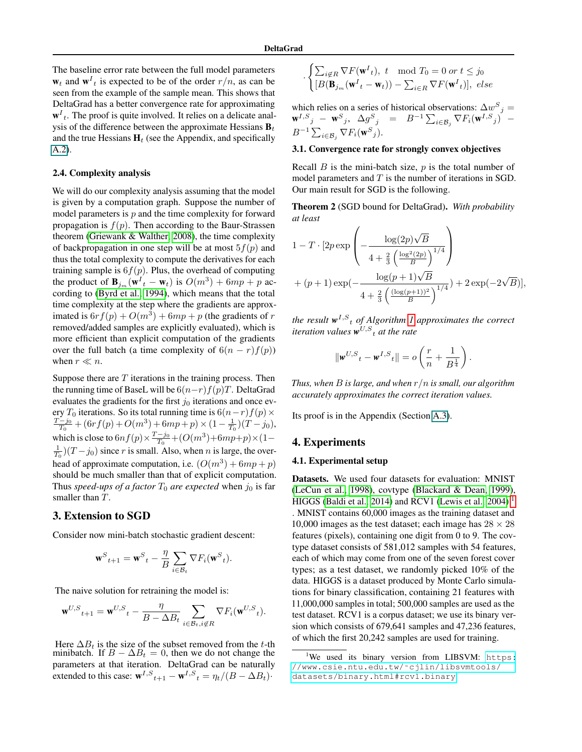The baseline error rate between the full model parameters  $w_t$  and  $w_t$  is expected to be of the order  $r/n$ , as can be seen from the example of the sample mean. This shows that DeltaGrad has a better convergence rate for approximating  $w<sup>I</sup><sub>t</sub>$ . The proof is quite involved. It relies on a delicate analysis of the difference between the approximate Hessians  $\mathbf{B}_t$ and the true Hessians  $H_t$  (see the Appendix, and specifically A.2).

### <span id="page-4-1"></span>2.4. Complexity analysis

We will do our complexity analysis assuming that the model is given by a computation graph. Suppose the number of model parameters is  $p$  and the time complexity for forward propagation is  $f(p)$ . Then according to the Baur-Strassen theorem [\(Griewank & Walther, 2008\)](#page-10-22), the time complexity of backpropagation in one step will be at most  $5f(p)$  and thus the total complexity to compute the derivatives for each training sample is  $6f(p)$ . Plus, the overhead of computing the product of  $\mathbf{B}_{j_m}(\mathbf{w}^I{}_t - \mathbf{w}_t)$  is  $O(m^3) + 6mp + p$  according to [\(Byrd et al., 1994\)](#page-9-17), which means that the total time complexity at the step where the gradients are approximated is  $6rf(p) + O(m^3) + 6mp + p$  (the gradients of r removed/added samples are explicitly evaluated), which is more efficient than explicit computation of the gradients over the full batch (a time complexity of  $6(n - r)f(p)$ ) when  $r \ll n$ .

Suppose there are  $T$  iterations in the training process. Then the running time of BaseL will be  $6(n-r)f(p)T$ . DeltaGrad evaluates the gradients for the first  $j_0$  iterations and once every  $T_0$  iterations. So its total running time is  $6(n-r)f(p) \times$  $\frac{T-j_0}{T_0} + (6rf(p) + O(m^3) + 6mp + p) \times (1 - \frac{1}{T_0})(T - j_0),$ which is close to  $6nf(p) \times \frac{T-j_0}{T_0} + (O(m^3) + 6mp + p) \times (1 \frac{1}{T_0}$ )( $T - j_0$ ) since r is small. Also, when n is large, the overhead of approximate computation, i.e.  $(O(m^3) + 6mp + p)$ should be much smaller than that of explicit computation. Thus *speed-ups of a factor*  $T_0$  *are expected* when  $j_0$  is far smaller than T.

### 3. Extension to SGD

Consider now mini-batch stochastic gradient descent:

$$
\mathbf{w}^{S}_{t+1} = \mathbf{w}^{S}_{t} - \frac{\eta}{B} \sum_{i \in \mathcal{B}_{t}} \nabla F_{i}(\mathbf{w}^{S}_{t}).
$$

The naive solution for retraining the model is:

$$
{\mathbf w}^{U,S}{}_{t+1} = {\mathbf w}^{U,S}{}_{t} - \frac{\eta}{B - \Delta B_t} \sum_{i \in \mathcal{B}_t, i \not\in R} \nabla F_i({\mathbf w}^{U,S}{}_{t}).
$$

Here  $\Delta B_t$  is the size of the subset removed from the t-th minibatch. If  $B - \Delta B_t = 0$ , then we do not change the parameters at that iteration. DeltaGrad can be naturally extended to this case:  $\mathbf{w}^{I,S}$ <sub>t+1</sub> –  $\mathbf{w}^{I,S}$ <sub>t</sub> =  $\eta_t/(B - \Delta B_t)$ ·

$$
\begin{cases} \sum_{i \notin R} \nabla F(\mathbf{w}^I_{t}), \ t \mod T_0 = 0 \ or \ t \leq j_0 \\ [B(\mathbf{B}_{j_m}(\mathbf{w}^I_{t} - \mathbf{w}_{t})) - \sum_{i \in R} \nabla F(\mathbf{w}^I_{t})], \ else \end{cases}
$$

which relies on a series of historical observations:  $\Delta w^S$ P  $\Delta w^S{}_j =$  ${\bf w}^{I,S}{}_{j} \; - \; {\bf w}^{S}{}_{j}, \;\; \Delta g^{S}{}_{j} \;\; = \;\; B^{-1} \sum_{i \in {\cal B}_{j}} \nabla F_{i} ({\bf w}^{I,S}{}_{j}) \;\; - \;$  $B^{-1} \sum_{i \in \mathcal{B}_j} \nabla F_i(\mathbf{w}^S)$ .  $\qquad \qquad \qquad \mathcal{L}_{i \in \mathcal{B}_j}$ 

### 3.1. Convergence rate for strongly convex objectives

Recall  $B$  is the mini-batch size,  $p$  is the total number of model parameters and  $T$  is the number of iterations in SGD. Our main result for SGD is the following.

Theorem 2 (SGD bound for DeltaGrad). *With probability at least* 

$$
1 - T \cdot [2p \exp\left(-\frac{\log(2p)\sqrt{B}}{4 + \frac{2}{3}\left(\frac{\log^2(2p)}{B}\right)^{1/4}}\right) + (p+1)\exp(-\frac{\log(p+1)\sqrt{B}}{4 + \frac{2}{3}\left(\frac{(\log(p+1))^2}{B}\right)^{1/4}}) + 2\exp(-2\sqrt{B})],
$$

*the result*  $w^{I,S}$  *t of Algorithm [1](#page-2-2) approximates the correct iteration values*  $\mathbf{w}^{U,S}$  *at the rate* 

$$
\|\pmb{w}^{U,S}{}_{t}-\pmb{w}^{I,S}{}_{t}\|=o\left(\frac{r}{n}+\frac{1}{B^{\frac{1}{4}}}\right).
$$

*Thus, when B is large, and when*  $r/n$  *is small, our algorithm accurately approximates the correct iteration values.* 

Its proof is in the Appendix (Section A.3).

#### <span id="page-4-2"></span>4. Experiments

### <span id="page-4-0"></span>4.1. Experimental setup

Datasets. We used four datasets for evaluation: MNIST [\(LeCun et al., 1998\)](#page-10-23), covtype [\(Blackard & Dean, 1999\)](#page-9-23), HIGGS [\(Baldi et al., 2014\)](#page-9-24) and RCV1 [\(Lewis et al., 2004\)](#page-10-24)<sup>1</sup> . MNIST contains 60,000 images as the training dataset and 10,000 images as the test dataset; each image has  $28 \times 28$ features (pixels), containing one digit from 0 to 9. The covtype dataset consists of 581,012 samples with 54 features, each of which may come from one of the seven forest cover types; as a test dataset, we randomly picked 10% of the data. HIGGS is a dataset produced by Monte Carlo simulations for binary classifcation, containing 21 features with 11,000,000 samples in total; 500,000 samples are used as the test dataset. RCV1 is a corpus dataset; we use its binary version which consists of 679,641 samples and 47,236 features, of which the frst 20,242 samples are used for training.

<sup>&</sup>lt;sup>1</sup>We used its binary version from LIBSVM: [https:](https://www.csie.ntu.edu.tw/~cjlin/libsvmtools/datasets/binary.html#rcv1.binary) [//www.csie.ntu.edu.tw/˜cjlin/libsvmtools/](https://www.csie.ntu.edu.tw/~cjlin/libsvmtools/datasets/binary.html#rcv1.binary) [datasets/binary.html#rcv1.binary](https://www.csie.ntu.edu.tw/~cjlin/libsvmtools/datasets/binary.html#rcv1.binary)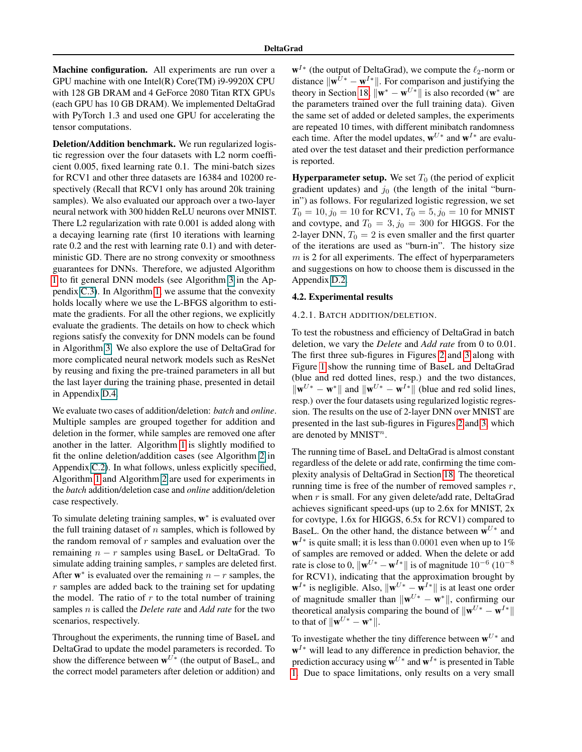Machine configuration. All experiments are run over a GPU machine with one Intel(R) Core(TM) i9-9920X CPU with 128 GB DRAM and 4 GeForce 2080 Titan RTX GPUs (each GPU has 10 GB DRAM). We implemented DeltaGrad with PyTorch 1.3 and used one GPU for accelerating the tensor computations.

Deletion/Addition benchmark. We run regularized logistic regression over the four datasets with L2 norm coeffcient 0.005, fxed learning rate 0.1. The mini-batch sizes for RCV1 and other three datasets are 16384 and 10200 respectively (Recall that RCV1 only has around 20k training samples). We also evaluated our approach over a two-layer neural network with 300 hidden ReLU neurons over MNIST. There L2 regularization with rate 0.001 is added along with a decaying learning rate (frst 10 iterations with learning rate 0.2 and the rest with learning rate 0.1) and with deterministic GD. There are no strong convexity or smoothness guarantees for DNNs. Therefore, we adjusted Algorithm [1](#page-2-2) to ft general DNN models (see Algorithm 3 in the Appendix C.3). In Algorithm [1,](#page-2-2) we assume that the convexity holds locally where we use the L-BFGS algorithm to estimate the gradients. For all the other regions, we explicitly evaluate the gradients. The details on how to check which regions satisfy the convexity for DNN models can be found in Algorithm 3. We also explore the use of DeltaGrad for more complicated neural network models such as ResNet by reusing and fxing the pre-trained parameters in all but the last layer during the training phase, presented in detail in Appendix D.4.

We evaluate two cases of addition/deletion: *batch* and *online*. Multiple samples are grouped together for addition and deletion in the former, while samples are removed one after another in the latter. Algorithm [1](#page-2-2) is slightly modifed to ft the online deletion/addition cases (see Algorithm 2 in Appendix C.2). In what follows, unless explicitly specifed, Algorithm [1](#page-2-2) and Algorithm 2 are used for experiments in the *batch* addition/deletion case and *online* addition/deletion case respectively.

To simulate deleting training samples,  $w^*$  is evaluated over the full training dataset of  $n$  samples, which is followed by the random removal of  $r$  samples and evaluation over the remaining  $n - r$  samples using BaseL or DeltaGrad. To simulate adding training samples,  $r$  samples are deleted first. After  $w^*$  is evaluated over the remaining  $n - r$  samples, the r samples are added back to the training set for updating the model. The ratio of  $r$  to the total number of training samples n is called the *Delete rate* and *Add rate* for the two scenarios, respectively.

Throughout the experiments, the running time of BaseL and DeltaGrad to update the model parameters is recorded. To show the difference between  $\mathbf{w}^{U*}$  (the output of BaseL, and the correct model parameters after deletion or addition) and  $\mathbf{w}^{I*}$  (the output of DeltaGrad), we compute the  $\ell_2$ -norm or distance  $\|\mathbf{w}^{U*} - \mathbf{w}^{I*}\|$ . For comparison and justifying the theory in Section [18,](#page-3-2)  $\|\mathbf{w}^* - \mathbf{w}^{U*}\|$  is also recorded (w<sup>\*</sup> are the parameters trained over the full training data). Given the same set of added or deleted samples, the experiments are repeated 10 times, with different minibatch randomness each time. After the model updates,  $\mathbf{w}^{U*}$  and  $\mathbf{w}^{I*}$  are evaluated over the test dataset and their prediction performance is reported.

**Hyperparameter setup.** We set  $T_0$  (the period of explicit gradient updates) and  $j_0$  (the length of the inital "burnin") as follows. For regularized logistic regression, we set  $T_0 = 10, j_0 = 10$  for RCV1,  $T_0 = 5, j_0 = 10$  for MNIST and covtype, and  $T_0 = 3$ ,  $j_0 = 300$  for HIGGS. For the 2-layer DNN,  $T_0 = 2$  is even smaller and the first quarter of the iterations are used as "burn-in". The history size  $m$  is 2 for all experiments. The effect of hyperparameters and suggestions on how to choose them is discussed in the Appendix [D.2.](#page-5-0)

### <span id="page-5-0"></span>4.2. Experimental results

#### 4.2.1. BATCH ADDITION/DELETION.

To test the robustness and efficiency of DeltaGrad in batch deletion, we vary the *Delete* and *Add rate* from 0 to 0.01. The frst three sub-fgures in Figures [2](#page-6-0) and [3](#page-6-0) along with Figure [1](#page-0-0) show the running time of BaseL and DeltaGrad (blue and red dotted lines, resp.) and the two distances,  $\|\mathbf{w}^{U*} - \mathbf{w}^*\|$  and  $\|\mathbf{w}^{U*} - \mathbf{w}^{I*}\|$  (blue and red solid lines, resp.) over the four datasets using regularized logistic regression. The results on the use of 2-layer DNN over MNIST are presented in the last sub-fgures in Figures [2](#page-6-0) and [3,](#page-6-0) which are denoted by MNIST<sup>n</sup>.

The running time of BaseL and DeltaGrad is almost constant regardless of the delete or add rate, confrming the time complexity analysis of DeltaGrad in Section [18.](#page-4-1) The theoretical running time is free of the number of removed samples  $r$ , when  $r$  is small. For any given delete/add rate, DeltaGrad achieves signifcant speed-ups (up to 2.6x for MNIST, 2x for covtype, 1.6x for HIGGS, 6.5x for RCV1) compared to BaseL. On the other hand, the distance between  $w^{U*}$  and  $\mathbf{w}^{I*}$  is quite small; it is less than 0.0001 even when up to 1% of samples are removed or added. When the delete or add rate is close to 0,  $\|\mathbf{w}^{U*} - \mathbf{w}^{I*}\|$  is of magnitude 10<sup>-6</sup> (10<sup>-8</sup>) for RCV1), indicating that the approximation brought by  $\mathbf{w}^{I*}$  is negligible. Also,  $\|\mathbf{w}^{U*} - \mathbf{w}^{I*}\|$  is at least one order of magnitude smaller than  $\|\mathbf{w}^{U*} - \mathbf{w}^*\|$ , confirming our theoretical analysis comparing the bound of  $\|\mathbf{w}^{U*} - \mathbf{w}^{I*}\|$ to that of  $\|\mathbf{w}^{U*} - \mathbf{w}^*\|$ .

To investigate whether the tiny difference between  $\mathbf{w}^{U*}$  and  $w<sup>I</sup>∗$  will lead to any difference in prediction behavior, the prediction accuracy using  $\mathbf{w}^{U*}$  and  $\mathbf{w}^{I*}$  is presented in Table [1.](#page-6-1) Due to space limitations, only results on a very small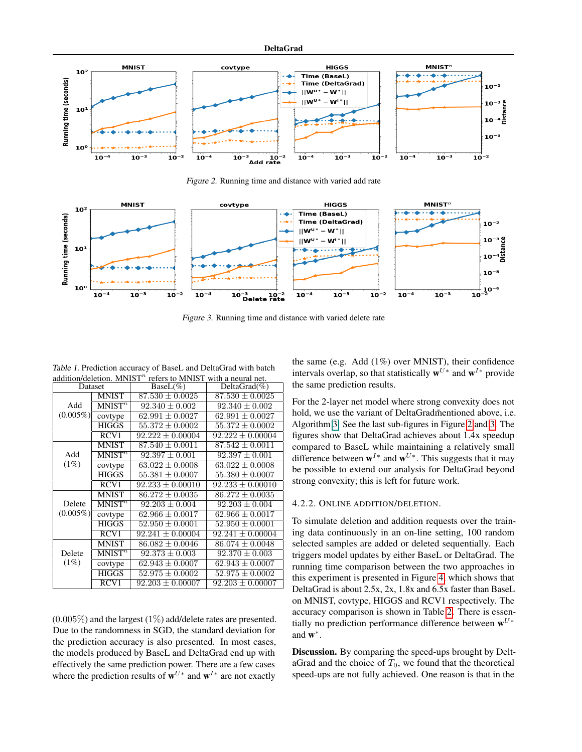<span id="page-6-0"></span>

Figure 2. Running time and distance with varied add rate



Figure 3. Running time and distance with varied delete rate

<span id="page-6-1"></span>Table 1. Prediction accuracy of BaseL and DeltaGrad with batch addition/deletion. MNIST $^n$  refers to MNIST with a neural net.

| auundivuolleitun. Mittis 1<br>TURIS IV IVITILIS I<br>with a neural net. |                    |                      |                      |  |
|-------------------------------------------------------------------------|--------------------|----------------------|----------------------|--|
| Dataset                                                                 |                    | $BaseL(\%)$          | $DeltaGrad(\%)$      |  |
|                                                                         | <b>MNIST</b>       | $87.530 \pm 0.0025$  | $87.530 \pm 0.0025$  |  |
| Add                                                                     | MNIST <sup>n</sup> | $92.340 \pm 0.002$   | $92.340 \pm 0.002$   |  |
| $(0.005\%)$                                                             | covtype            | $62.991 \pm 0.0027$  | $62.991 \pm 0.0027$  |  |
|                                                                         | <b>HIGGS</b>       | $55.372 \pm 0.0002$  | $55.372 \pm 0.0002$  |  |
|                                                                         | RCV <sub>1</sub>   | $92.222 \pm 0.00004$ | $92.222 \pm 0.00004$ |  |
|                                                                         | <b>MNIST</b>       | $87.540 \pm 0.0011$  | $87.542 \pm 0.0011$  |  |
| Add                                                                     | MNIST <sup>n</sup> | $92.397 \pm 0.001$   | $92.397 \pm 0.001$   |  |
| $(1\%)$                                                                 | covtype            | $63.022 \pm 0.0008$  | $63.022 \pm 0.0008$  |  |
|                                                                         | <b>HIGGS</b>       | $55.381 \pm 0.0007$  | $55.380 \pm 0.0007$  |  |
|                                                                         | RCV1               | $92.233 \pm 0.00010$ | $92.233 \pm 0.00010$ |  |
|                                                                         | <b>MNIST</b>       | $86.272 \pm 0.0035$  | $86.272 \pm 0.0035$  |  |
| Delete                                                                  | MNIST <sup>n</sup> | $92.203 \pm 0.004$   | $92.203 \pm 0.004$   |  |
|                                                                         | covtype            | $62.966 \pm 0.0017$  | $62.966 \pm 0.0017$  |  |
|                                                                         | <b>HIGGS</b>       | $52.950 \pm 0.0001$  | $52.950 \pm 0.0001$  |  |
|                                                                         | RCV1               | $92.241 \pm 0.00004$ | $92.241 \pm 0.00004$ |  |
|                                                                         | <b>MNIST</b>       | $86.082 \pm 0.0046$  | $86.074 \pm 0.0048$  |  |
| Delete                                                                  |                    | $92.373 \pm 0.003$   | $92.370 \pm 0.003$   |  |
| (1%)                                                                    | covtype            | $62.943 \pm 0.0007$  | $62.943 \pm 0.0007$  |  |
|                                                                         | <b>HIGGS</b>       | $52.975 \pm 0.0002$  | $52.975 \pm 0.0002$  |  |
|                                                                         | RCV <sub>1</sub>   | $92.203 \pm 0.00007$ | $92.203 \pm 0.00007$ |  |
|                                                                         | $(0.005\%)$        | $MNIST^n$            |                      |  |

 $(0.005\%)$  and the largest  $(1\%)$  add/delete rates are presented. Due to the randomness in SGD, the standard deviation for the prediction accuracy is also presented. In most cases, the models produced by BaseL and DeltaGrad end up with effectively the same prediction power. There are a few cases where the prediction results of  $\mathbf{w}^{U*}$  and  $\mathbf{w}^{I*}$  are not exactly the same (e.g. Add (1%) over MNIST), their confdence intervals overlap, so that statistically  $w^{U*}$  and  $w^{I*}$  provide the same prediction results.

For the 2-layer net model where strong convexity does not hold, we use the variant of DeltaGradmentioned above, i.e. Algorithm 3. See the last sub-fgures in Figure [2](#page-6-0) and [3.](#page-6-0) The fgures show that DeltaGrad achieves about 1.4x speedup compared to BaseL while maintaining a relatively small difference between  $\mathbf{w}^{I*}$  and  $\mathbf{w}^{U*}$ . This suggests that it may be possible to extend our analysis for DeltaGrad beyond strong convexity; this is left for future work.

### 4.2.2. ONLINE ADDITION/DELETION.

To simulate deletion and addition requests over the training data continuously in an on-line setting, 100 random selected samples are added or deleted sequentially. Each triggers model updates by either BaseL or DeltaGrad. The running time comparison between the two approaches in this experiment is presented in Figure [4,](#page-7-1) which shows that DeltaGrad is about 2.5x, 2x, 1.8x and 6.5x faster than BaseL on MNIST, covtype, HIGGS and RCV1 respectively. The accuracy comparison is shown in Table [2.](#page-7-2) There is essentially no prediction performance difference between  $\mathbf{w}^{U*}$ and  $w^*$ .

Discussion. By comparing the speed-ups brought by DeltaGrad and the choice of  $T_0$ , we found that the theoretical speed-ups are not fully achieved. One reason is that in the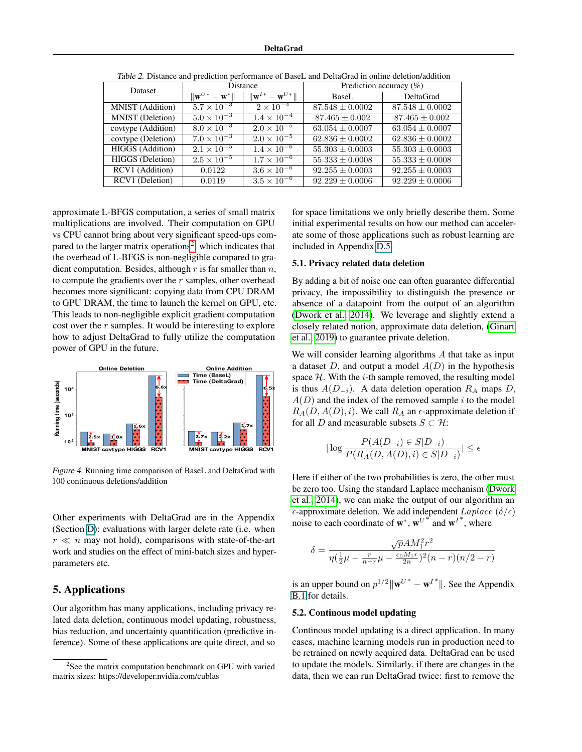<span id="page-7-2"></span>

| <b>Dataset</b>          | Distance                                      |                                         | Prediction accuracy $(\%)$ |                     |
|-------------------------|-----------------------------------------------|-----------------------------------------|----------------------------|---------------------|
|                         | $\overline{\ \mathbf{w}^{U*}-\mathbf{w}^*\ }$ | $\ \mathbf{w}^{I*} - \mathbf{w}^{U*}\ $ | BaseL                      | <b>DeltaGrad</b>    |
| MNIST (Addition)        | $5.7 \times 10^{-3}$                          | $2 \times 10^{-4}$                      | $87.548 \pm 0.0002$        | $87.548 \pm 0.0002$ |
| <b>MNIST</b> (Deletion) | $5.0 \times 10^{-3}$                          | $1.4 \times 10^{-4}$                    | $87.465 \pm 0.002$         | $87.465 \pm 0.002$  |
| covtype (Addition)      | $8.0 \times 10^{-3}$                          | $2.0 \times 10^{-5}$                    | $63.054 \pm 0.0007$        | $63.054 \pm 0.0007$ |
| covtype (Deletion)      | $7.0 \times 10^{-3}$                          | $2.0 \times 10^{-5}$                    | $62.836 \pm 0.0002$        | $62.836 \pm 0.0002$ |
| <b>HIGGS</b> (Addition) | $2.1 \times 10^{-5}$                          | $1.\overline{4 \times 10^{-6}}$         | $55.303 \pm 0.0003$        | $55.303 \pm 0.0003$ |
| <b>HIGGS</b> (Deletion) | $2.5 \times 10^{-5}$                          | $1.7 \times 10^{-6}$                    | $55.333 \pm 0.0008$        | $55.333 \pm 0.0008$ |
| RCV1 (Addition)         | 0.0122                                        | $3.6 \times 10^{-6}$                    | $92.255 \pm 0.0003$        | $92.255 \pm 0.0003$ |
| RCV1 (Deletion)         | 0.0119                                        | $3.5 \times 10^{-6}$                    | $92.229 \pm 0.0006$        | $92.229 \pm 0.0006$ |

Table 2. Distance and prediction performance of BaseL and DeltaGrad in online deletion/addition

approximate L-BFGS computation, a series of small matrix multiplications are involved. Their computation on GPU vs CPU cannot bring about very signifcant speed-ups compared to the larger matrix operations<sup>2</sup>, which indicates that the overhead of L-BFGS is non-negligible compared to gradient computation. Besides, although  $r$  is far smaller than  $n$ , to compute the gradients over the  $r$  samples, other overhead becomes more signifcant: copying data from CPU DRAM to GPU DRAM, the time to launch the kernel on GPU, etc. This leads to non-negligible explicit gradient computation cost over the r samples. It would be interesting to explore how to adjust DeltaGrad to fully utilize the computation power of GPU in the future.

<span id="page-7-1"></span>

Figure 4. Running time comparison of BaseL and DeltaGrad with 100 continuous deletions/addition

Other experiments with DeltaGrad are in the Appendix (Section [D\)](#page-4-2): evaluations with larger delete rate (i.e. when  $r \ll n$  may not hold), comparisons with state-of-the-art work and studies on the effect of mini-batch sizes and hyperparameters etc.

# 5. Applications

Our algorithm has many applications, including privacy related data deletion, continuous model updating, robustness, bias reduction, and uncertainty quantifcation (predictive inference). Some of these applications are quite direct, and so

for space limitations we only briefy describe them. Some initial experimental results on how our method can accelerate some of those applications such as robust learning are included in Appendix D.5.

### <span id="page-7-0"></span>5.1. Privacy related data deletion

By adding a bit of noise one can often guarantee differential privacy, the impossibility to distinguish the presence or absence of a datapoint from the output of an algorithm [\(Dwork et al.,](#page-9-2) [2014\)](#page-9-2). We leverage and slightly extend a closely related notion, approximate data deletion, [\(Ginart](#page-9-0)  [et al., 2019\)](#page-9-0) to guarantee private deletion.

We will consider learning algorithms A that take as input a dataset  $D$ , and output a model  $A(D)$  in the hypothesis space  $H$ . With the *i*-th sample removed, the resulting model is thus  $A(D_{-i})$ . A data deletion operation  $R_A$  maps D,  $A(D)$  and the index of the removed sample i to the model  $R_A(D, A(D), i)$ . We call  $R_A$  an  $\epsilon$ -approximate deletion if for all D and measurable subsets  $S \subset \mathcal{H}$ :

$$
|\log \frac{P(A(D_{-i}) \in S|D_{-i})}{P(R_A(D, A(D), i) \in S|D_{-i})}| \le \epsilon
$$

Here if either of the two probabilities is zero, the other must be zero too. Using the standard Laplace mechanism [\(Dwork](#page-9-2)  [et al., 2014\)](#page-9-2), we can make the output of our algorithm an  $\epsilon$ -approximate deletion. We add independent  $Laplace$  ( $\delta/\epsilon$ ) noise to each coordinate of  $w^*$ ,  $w^{U^*}$  and  $w^{I^*}$ , where

$$
\delta = \frac{\sqrt{p} A M_1^2 r^2}{\eta(\frac{1}{2}\mu - \frac{r}{n-r}\mu - \frac{c_0 M_1 r}{2n})^2 (n-r)(n/2 - r)}
$$

is an upper bound on  $p^{1/2} \|\mathbf{w}^{U^*} - \mathbf{w}^{I^*}\|$ . See the Appendix [B.1](#page-2-0) for details.

### 5.2. Continous model updating

Continous model updating is a direct application. In many cases, machine learning models run in production need to be retrained on newly acquired data. DeltaGrad can be used to update the models. Similarly, if there are changes in the data, then we can run DeltaGrad twice: frst to remove the

<sup>&</sup>lt;sup>2</sup>See the matrix computation benchmark on GPU with varied matrix sizes: <https://developer.nvidia.com/cublas>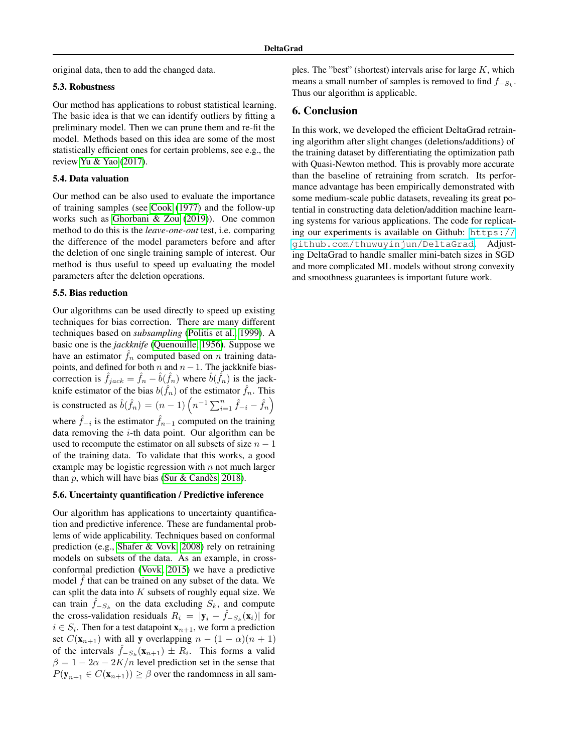original data, then to add the changed data.

# 5.3. Robustness

Our method has applications to robust statistical learning. The basic idea is that we can identify outliers by ftting a preliminary model. Then we can prune them and re-ft the model. Methods based on this idea are some of the most statistically efficient ones for certain problems, see e.g., the review [Yu & Yao \(2017\)](#page-11-4).

### 5.4. Data valuation

Our method can be also used to evaluate the importance of training samples (see [Cook \(1977\)](#page-9-4) and the follow-up works such as [Ghorbani & Zou \(2019\)](#page-9-25)). One common method to do this is the *leave-one-out* test, i.e. comparing the difference of the model parameters before and after the deletion of one single training sample of interest. Our method is thus useful to speed up evaluating the model parameters after the deletion operations.

### 5.5. Bias reduction

Our algorithms can be used directly to speed up existing techniques for bias correction. There are many different techniques based on *subsampling* [\(Politis et al., 1999\)](#page-10-25). A basic one is the *jackknife* [\(Quenouille, 1956\)](#page-10-0). Suppose we have an estimator  $\hat{f}_n$  computed based on n training datapoints, and defined for both  $n$  and  $n-1$ . The jackknife biascorrection is  $\hat{f}_{jack} = \hat{f}_n - \hat{b}(\hat{f}_n)$  where  $\hat{b}(\hat{f}_n)$  is the jackknife estimator of the bias  $b(\hat{f}_n)$  of the estimator  $\hat{f}_n$ . This is constructed as  $\hat{b}(\hat{f}_n) = (n-1) \left( n^{-1} \sum_{i=1}^n \hat{f}_{-i} - \hat{f}_n \right)$ where  $\hat{f}_{-i}$  is the estimator  $\hat{f}_{n-1}$  computed on the training data removing the  $i$ -th data point. Our algorithm can be used to recompute the estimator on all subsets of size  $n - 1$ of the training data. To validate that this works, a good example may be logistic regression with  $n$  not much larger than p, which will have bias (Sur & Candès, [2018\)](#page-10-26).

#### 5.6. Uncertainty quantifcation / Predictive inference

Our algorithm has applications to uncertainty quantifcation and predictive inference. These are fundamental problems of wide applicability. Techniques based on conformal prediction (e.g., [Shafer & Vovk, 2008\)](#page-10-1) rely on retraining models on subsets of the data. As an example, in crossconformal prediction [\(Vovk, 2015\)](#page-11-5) we have a predictive model  $\hat{f}$  that can be trained on any subset of the data. We can split the data into  $K$  subsets of roughly equal size. We can train  $\hat{f}_{-S_k}$  on the data excluding  $S_k$ , and compute the cross-validation residuals  $R_i = |\mathbf{y}_i - \hat{f}_{-S_k}(\mathbf{x}_i)|$  for  $i \in S_i$ . Then for a test datapoint  $\mathbf{x}_{n+1}$ , we form a prediction set  $C(\mathbf{x}_{n+1})$  with all y overlapping  $n - (1 - \alpha)(n + 1)$ of the intervals  $\hat{f}_{-S_k}(\mathbf{x}_{n+1}) \pm R_i$ . This forms a valid  $\beta = 1 - 2\alpha - 2K/n$  level prediction set in the sense that  $P(\mathbf{y}_{n+1} \in C(\mathbf{x}_{n+1})) \geq \beta$  over the randomness in all samples. The "best" (shortest) intervals arise for large  $K$ , which means a small number of samples is removed to find  $f_{-S_k}$ . Thus our algorithm is applicable.

# 6. Conclusion

In this work, we developed the efficient DeltaGrad retraining algorithm after slight changes (deletions/additions) of the training dataset by differentiating the optimization path with Quasi-Newton method. This is provably more accurate than the baseline of retraining from scratch. Its performance advantage has been empirically demonstrated with some medium-scale public datasets, revealing its great potential in constructing data deletion/addition machine learning systems for various applications. The code for replicating our experiments is available on Github: [https://](https://github.com/thuwuyinjun/DeltaGrad) [github.com/thuwuyinjun/DeltaGrad](https://github.com/thuwuyinjun/DeltaGrad). Adjusting DeltaGrad to handle smaller mini-batch sizes in SGD and more complicated ML models without strong convexity and smoothness guarantees is important future work.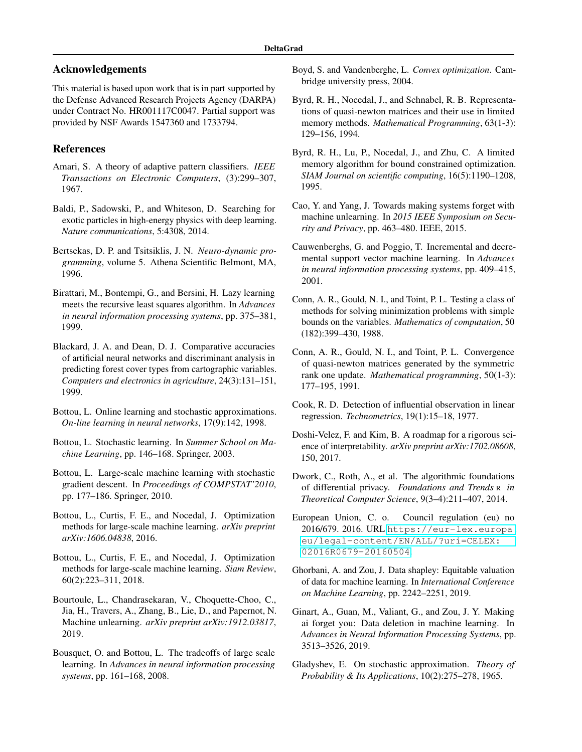# Acknowledgements

This material is based upon work that is in part supported by the Defense Advanced Research Projects Agency (DARPA) under Contract No. HR001117C0047. Partial support was provided by NSF Awards 1547360 and 1733794.

# References

- <span id="page-9-15"></span>Amari, S. A theory of adaptive pattern classifers. *IEEE Transactions on Electronic Computers*, (3):299–307, 1967.
- <span id="page-9-24"></span>Baldi, P., Sadowski, P., and Whiteson, D. Searching for exotic particles in high-energy physics with deep learning. *Nature communications*, 5:4308, 2014.
- <span id="page-9-16"></span>Bertsekas, D. P. and Tsitsiklis, J. N. *Neuro-dynamic programming*, volume 5. Athena Scientifc Belmont, MA, 1996.
- <span id="page-9-5"></span>Birattari, M., Bontempi, G., and Bersini, H. Lazy learning meets the recursive least squares algorithm. In *Advances in neural information processing systems*, pp. 375–381, 1999.
- <span id="page-9-23"></span>Blackard, J. A. and Dean, D. J. Comparative accuracies of artifcial neural networks and discriminant analysis in predicting forest cover types from cartographic variables. *Computers and electronics in agriculture*, 24(3):131–151, 1999.
- <span id="page-9-9"></span>Bottou, L. Online learning and stochastic approximations. *On-line learning in neural networks*, 17(9):142, 1998.
- <span id="page-9-10"></span>Bottou, L. Stochastic learning. In *Summer School on Machine Learning*, pp. 146–168. Springer, 2003.
- <span id="page-9-12"></span>Bottou, L. Large-scale machine learning with stochastic gradient descent. In *Proceedings of COMPSTAT'2010*, pp. 177–186. Springer, 2010.
- <span id="page-9-20"></span>Bottou, L., Curtis, F. E., and Nocedal, J. Optimization methods for large-scale machine learning. *arXiv preprint arXiv:1606.04838*, 2016.
- <span id="page-9-13"></span>Bottou, L., Curtis, F. E., and Nocedal, J. Optimization methods for large-scale machine learning. *Siam Review*, 60(2):223–311, 2018.
- <span id="page-9-8"></span>Bourtoule, L., Chandrasekaran, V., Choquette-Choo, C., Jia, H., Travers, A., Zhang, B., Lie, D., and Papernot, N. Machine unlearning. *arXiv preprint arXiv:1912.03817*, 2019.
- <span id="page-9-11"></span>Bousquet, O. and Bottou, L. The tradeoffs of large scale learning. In *Advances in neural information processing systems*, pp. 161–168, 2008.
- <span id="page-9-19"></span>Boyd, S. and Vandenberghe, L. *Convex optimization*. Cambridge university press, 2004.
- <span id="page-9-17"></span>Byrd, R. H., Nocedal, J., and Schnabel, R. B. Representations of quasi-newton matrices and their use in limited memory methods. *Mathematical Programming*, 63(1-3): 129–156, 1994.
- <span id="page-9-18"></span>Byrd, R. H., Lu, P., Nocedal, J., and Zhu, C. A limited memory algorithm for bound constrained optimization. *SIAM Journal on scientifc computing*, 16(5):1190–1208, 1995.
- <span id="page-9-6"></span>Cao, Y. and Yang, J. Towards making systems forget with machine unlearning. In *2015 IEEE Symposium on Security and Privacy*, pp. 463–480. IEEE, 2015.
- <span id="page-9-7"></span>Cauwenberghs, G. and Poggio, T. Incremental and decremental support vector machine learning. In *Advances in neural information processing systems*, pp. 409–415, 2001.
- <span id="page-9-22"></span>Conn, A. R., Gould, N. I., and Toint, P. L. Testing a class of methods for solving minimization problems with simple bounds on the variables. *Mathematics of computation*, 50 (182):399–430, 1988.
- <span id="page-9-21"></span>Conn, A. R., Gould, N. I., and Toint, P. L. Convergence of quasi-newton matrices generated by the symmetric rank one update. *Mathematical programming*, 50(1-3): 177–195, 1991.
- <span id="page-9-4"></span>Cook, R. D. Detection of infuential observation in linear regression. *Technometrics*, 19(1):15–18, 1977.
- <span id="page-9-3"></span>Doshi-Velez, F. and Kim, B. A roadmap for a rigorous science of interpretability. *arXiv preprint arXiv:1702.08608*, 150, 2017.
- <span id="page-9-2"></span> of differential privacy. *Foundations and Trends* R *in*  Dwork, C., Roth, A., et al. The algorithmic foundations *Theoretical Computer Science*, 9(3–4):211–407, 2014.
- <span id="page-9-1"></span>European Union, C. o. Council regulation (eu) no 2016/679. 2016. URL [https://eur-lex.europa.](https://eur-lex.europa.eu/legal-content/EN/ALL/?uri=CELEX:02016R0679-20160504) [eu/legal-content/EN/ALL/?uri=CELEX:](https://eur-lex.europa.eu/legal-content/EN/ALL/?uri=CELEX:02016R0679-20160504) [02016R0679-20160504](https://eur-lex.europa.eu/legal-content/EN/ALL/?uri=CELEX:02016R0679-20160504).
- <span id="page-9-25"></span>Ghorbani, A. and Zou, J. Data shapley: Equitable valuation of data for machine learning. In *International Conference on Machine Learning*, pp. 2242–2251, 2019.
- <span id="page-9-0"></span>Ginart, A., Guan, M., Valiant, G., and Zou, J. Y. Making ai forget you: Data deletion in machine learning. In *Advances in Neural Information Processing Systems*, pp. 3513–3526, 2019.
- <span id="page-9-14"></span>Gladyshev, E. On stochastic approximation. *Theory of Probability & Its Applications*, 10(2):275–278, 1965.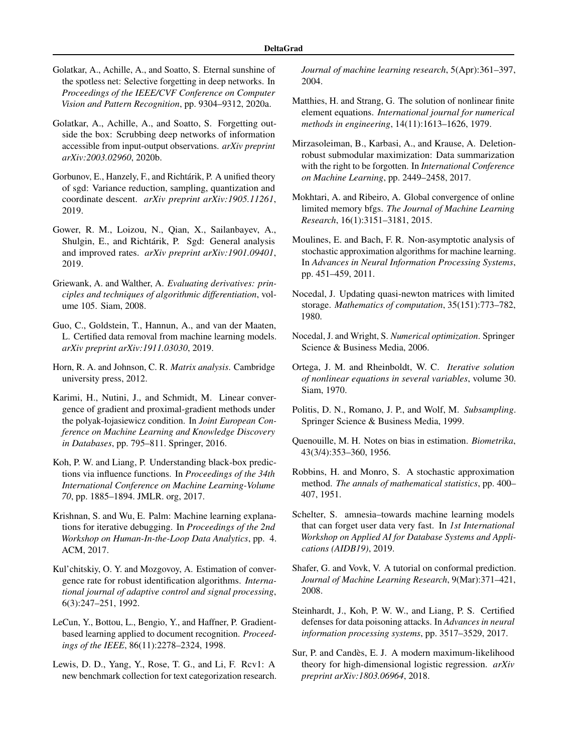- <span id="page-10-9"></span>Golatkar, A., Achille, A., and Soatto, S. Eternal sunshine of the spotless net: Selective forgetting in deep networks. In *Proceedings of the IEEE/CVF Conference on Computer Vision and Pattern Recognition*, pp. 9304–9312, 2020a.
- <span id="page-10-10"></span>Golatkar, A., Achille, A., and Soatto, S. Forgetting outside the box: Scrubbing deep networks of information accessible from input-output observations. *arXiv preprint arXiv:2003.02960*, 2020b.
- <span id="page-10-15"></span>Gorbunov, E., Hanzely, F., and Richtárik, P. A unified theory of sgd: Variance reduction, sampling, quantization and coordinate descent. *arXiv preprint arXiv:1905.11261*, 2019.
- <span id="page-10-16"></span>Gower, R. M., Loizou, N., Qian, X., Sailanbayev, A., Shulgin, E., and Richtárik, P. Sgd: General analysis and improved rates. *arXiv preprint arXiv:1901.09401*, 2019.
- <span id="page-10-22"></span>Griewank, A. and Walther, A. *Evaluating derivatives: principles and techniques of algorithmic differentiation*, volume 105. Siam, 2008.
- <span id="page-10-2"></span>Guo, C., Goldstein, T., Hannun, A., and van der Maaten, L. Certifed data removal from machine learning models. *arXiv preprint arXiv:1911.03030*, 2019.
- <span id="page-10-7"></span>Horn, R. A. and Johnson, C. R. *Matrix analysis*. Cambridge university press, 2012.
- <span id="page-10-14"></span>Karimi, H., Nutini, J., and Schmidt, M. Linear convergence of gradient and proximal-gradient methods under the polyak-łojasiewicz condition. In *Joint European Conference on Machine Learning and Knowledge Discovery in Databases*, pp. 795–811. Springer, 2016.
- <span id="page-10-5"></span>Koh, P. W. and Liang, P. Understanding black-box predictions via infuence functions. In *Proceedings of the 34th International Conference on Machine Learning-Volume 70*, pp. 1885–1894. JMLR. org, 2017.
- <span id="page-10-4"></span>Krishnan, S. and Wu, E. Palm: Machine learning explanations for iterative debugging. In *Proceedings of the 2nd Workshop on Human-In-the-Loop Data Analytics*, pp. 4. ACM, 2017.
- <span id="page-10-12"></span>Kul'chitskiy, O. Y. and Mozgovoy, A. Estimation of convergence rate for robust identifcation algorithms. *International journal of adaptive control and signal processing*, 6(3):247–251, 1992.
- <span id="page-10-23"></span>LeCun, Y., Bottou, L., Bengio, Y., and Haffner, P. Gradientbased learning applied to document recognition. *Proceedings of the IEEE*, 86(11):2278–2324, 1998.
- <span id="page-10-24"></span>Lewis, D. D., Yang, Y., Rose, T. G., and Li, F. Rcv1: A new benchmark collection for text categorization research.

*Journal of machine learning research*, 5(Apr):361–397, 2004.

- <span id="page-10-17"></span>Matthies, H. and Strang, G. The solution of nonlinear fnite element equations. *International journal for numerical methods in engineering*, 14(11):1613–1626, 1979.
- <span id="page-10-6"></span>Mirzasoleiman, B., Karbasi, A., and Krause, A. Deletionrobust submodular maximization: Data summarization with the right to be forgotten. In *International Conference on Machine Learning*, pp. 2449–2458, 2017.
- <span id="page-10-20"></span>Mokhtari, A. and Ribeiro, A. Global convergence of online limited memory bfgs. *The Journal of Machine Learning Research*, 16(1):3151–3181, 2015.
- <span id="page-10-13"></span>Moulines, E. and Bach, F. R. Non-asymptotic analysis of stochastic approximation algorithms for machine learning. In *Advances in Neural Information Processing Systems*, pp. 451–459, 2011.
- <span id="page-10-18"></span>Nocedal, J. Updating quasi-newton matrices with limited storage. *Mathematics of computation*, 35(151):773–782, 1980.
- <span id="page-10-19"></span>Nocedal, J. and Wright, S. *Numerical optimization*. Springer Science & Business Media, 2006.
- <span id="page-10-21"></span>Ortega, J. M. and Rheinboldt, W. C. *Iterative solution of nonlinear equations in several variables*, volume 30. Siam, 1970.
- <span id="page-10-25"></span>Politis, D. N., Romano, J. P., and Wolf, M. *Subsampling*. Springer Science & Business Media, 1999.
- <span id="page-10-0"></span>Quenouille, M. H. Notes on bias in estimation. *Biometrika*, 43(3/4):353–360, 1956.
- <span id="page-10-11"></span>Robbins, H. and Monro, S. A stochastic approximation method. *The annals of mathematical statistics*, pp. 400– 407, 1951.
- <span id="page-10-8"></span>Schelter, S. amnesia–towards machine learning models that can forget user data very fast. In *1st International Workshop on Applied AI for Database Systems and Applications (AIDB19)*, 2019.
- <span id="page-10-1"></span>Shafer, G. and Vovk, V. A tutorial on conformal prediction. *Journal of Machine Learning Research*, 9(Mar):371–421, 2008.
- <span id="page-10-3"></span>Steinhardt, J., Koh, P. W. W., and Liang, P. S. Certifed defenses for data poisoning attacks. In *Advances in neural information processing systems*, pp. 3517–3529, 2017.
- <span id="page-10-26"></span>Sur, P. and Candes, E. J. A modern maximum-likelihood ` theory for high-dimensional logistic regression. *arXiv preprint arXiv:1803.06964*, 2018.